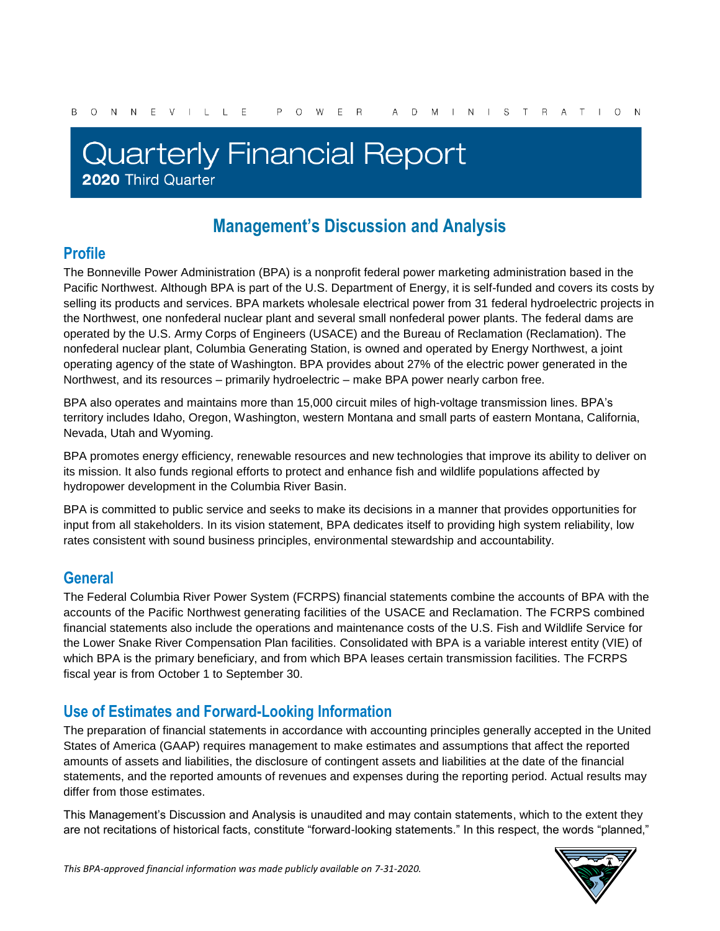# **Quarterly Financial Report** 2020 Third Quarter

## **Management's Discussion and Analysis**

### **Profile**

The Bonneville Power Administration (BPA) is a nonprofit federal power marketing administration based in the Pacific Northwest. Although BPA is part of the U.S. Department of Energy, it is self-funded and covers its costs by selling its products and services. BPA markets wholesale electrical power from 31 federal hydroelectric projects in the Northwest, one nonfederal nuclear plant and several small nonfederal power plants. The federal dams are operated by the U.S. Army Corps of Engineers (USACE) and the Bureau of Reclamation (Reclamation). The nonfederal nuclear plant, Columbia Generating Station, is owned and operated by Energy Northwest, a joint operating agency of the state of Washington. BPA provides about 27% of the electric power generated in the Northwest, and its resources – primarily hydroelectric – make BPA power nearly carbon free.

BPA also operates and maintains more than 15,000 circuit miles of high-voltage transmission lines. BPA's territory includes Idaho, Oregon, Washington, western Montana and small parts of eastern Montana, California, Nevada, Utah and Wyoming.

BPA promotes energy efficiency, renewable resources and new technologies that improve its ability to deliver on its mission. It also funds regional efforts to protect and enhance fish and wildlife populations affected by hydropower development in the Columbia River Basin.

BPA is committed to public service and seeks to make its decisions in a manner that provides opportunities for input from all stakeholders. In its vision statement, BPA dedicates itself to providing high system reliability, low rates consistent with sound business principles, environmental stewardship and accountability.

### **General**

The Federal Columbia River Power System (FCRPS) financial statements combine the accounts of BPA with the accounts of the Pacific Northwest generating facilities of the USACE and Reclamation. The FCRPS combined financial statements also include the operations and maintenance costs of the U.S. Fish and Wildlife Service for the Lower Snake River Compensation Plan facilities. Consolidated with BPA is a variable interest entity (VIE) of which BPA is the primary beneficiary, and from which BPA leases certain transmission facilities. The FCRPS fiscal year is from October 1 to September 30.

### **Use of Estimates and Forward-Looking Information**

The preparation of financial statements in accordance with accounting principles generally accepted in the United States of America (GAAP) requires management to make estimates and assumptions that affect the reported amounts of assets and liabilities, the disclosure of contingent assets and liabilities at the date of the financial statements, and the reported amounts of revenues and expenses during the reporting period. Actual results may differ from those estimates.

This Management's Discussion and Analysis is unaudited and may contain statements, which to the extent they are not recitations of historical facts, constitute "forward-looking statements." In this respect, the words "planned,"

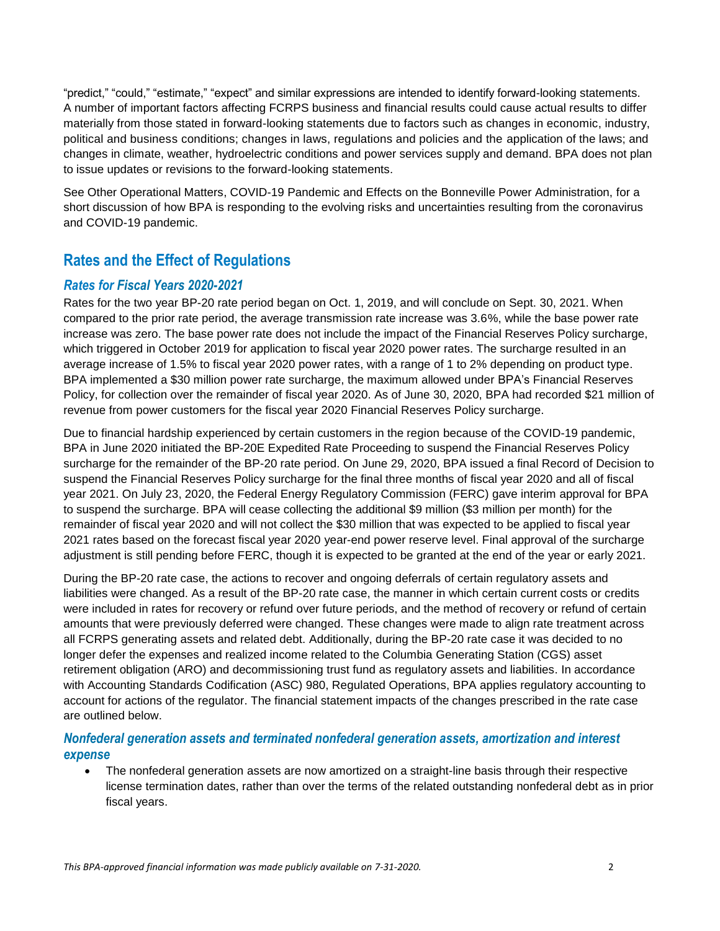"predict," "could," "estimate," "expect" and similar expressions are intended to identify forward-looking statements. A number of important factors affecting FCRPS business and financial results could cause actual results to differ materially from those stated in forward-looking statements due to factors such as changes in economic, industry, political and business conditions; changes in laws, regulations and policies and the application of the laws; and changes in climate, weather, hydroelectric conditions and power services supply and demand. BPA does not plan to issue updates or revisions to the forward-looking statements.

See Other Operational Matters, COVID-19 Pandemic and Effects on the Bonneville Power Administration, for a short discussion of how BPA is responding to the evolving risks and uncertainties resulting from the coronavirus and COVID-19 pandemic.

### **Rates and the Effect of Regulations**

### *Rates for Fiscal Years 2020-2021*

Rates for the two year BP-20 rate period began on Oct. 1, 2019, and will conclude on Sept. 30, 2021. When compared to the prior rate period, the average transmission rate increase was 3.6%, while the base power rate increase was zero. The base power rate does not include the impact of the Financial Reserves Policy surcharge, which triggered in October 2019 for application to fiscal year 2020 power rates. The surcharge resulted in an average increase of 1.5% to fiscal year 2020 power rates, with a range of 1 to 2% depending on product type. BPA implemented a \$30 million power rate surcharge, the maximum allowed under BPA's Financial Reserves Policy, for collection over the remainder of fiscal year 2020. As of June 30, 2020, BPA had recorded \$21 million of revenue from power customers for the fiscal year 2020 Financial Reserves Policy surcharge.

Due to financial hardship experienced by certain customers in the region because of the COVID-19 pandemic, BPA in June 2020 initiated the BP-20E Expedited Rate Proceeding to suspend the Financial Reserves Policy surcharge for the remainder of the BP-20 rate period. On June 29, 2020, BPA issued a final Record of Decision to suspend the Financial Reserves Policy surcharge for the final three months of fiscal year 2020 and all of fiscal year 2021. On July 23, 2020, the Federal Energy Regulatory Commission (FERC) gave interim approval for BPA to suspend the surcharge. BPA will cease collecting the additional \$9 million (\$3 million per month) for the remainder of fiscal year 2020 and will not collect the \$30 million that was expected to be applied to fiscal year 2021 rates based on the forecast fiscal year 2020 year-end power reserve level. Final approval of the surcharge adjustment is still pending before FERC, though it is expected to be granted at the end of the year or early 2021.

During the BP-20 rate case, the actions to recover and ongoing deferrals of certain regulatory assets and liabilities were changed. As a result of the BP-20 rate case, the manner in which certain current costs or credits were included in rates for recovery or refund over future periods, and the method of recovery or refund of certain amounts that were previously deferred were changed. These changes were made to align rate treatment across all FCRPS generating assets and related debt. Additionally, during the BP-20 rate case it was decided to no longer defer the expenses and realized income related to the Columbia Generating Station (CGS) asset retirement obligation (ARO) and decommissioning trust fund as regulatory assets and liabilities. In accordance with Accounting Standards Codification (ASC) 980, Regulated Operations, BPA applies regulatory accounting to account for actions of the regulator. The financial statement impacts of the changes prescribed in the rate case are outlined below.

### *Nonfederal generation assets and terminated nonfederal generation assets, amortization and interest expense*

 The nonfederal generation assets are now amortized on a straight-line basis through their respective license termination dates, rather than over the terms of the related outstanding nonfederal debt as in prior fiscal years.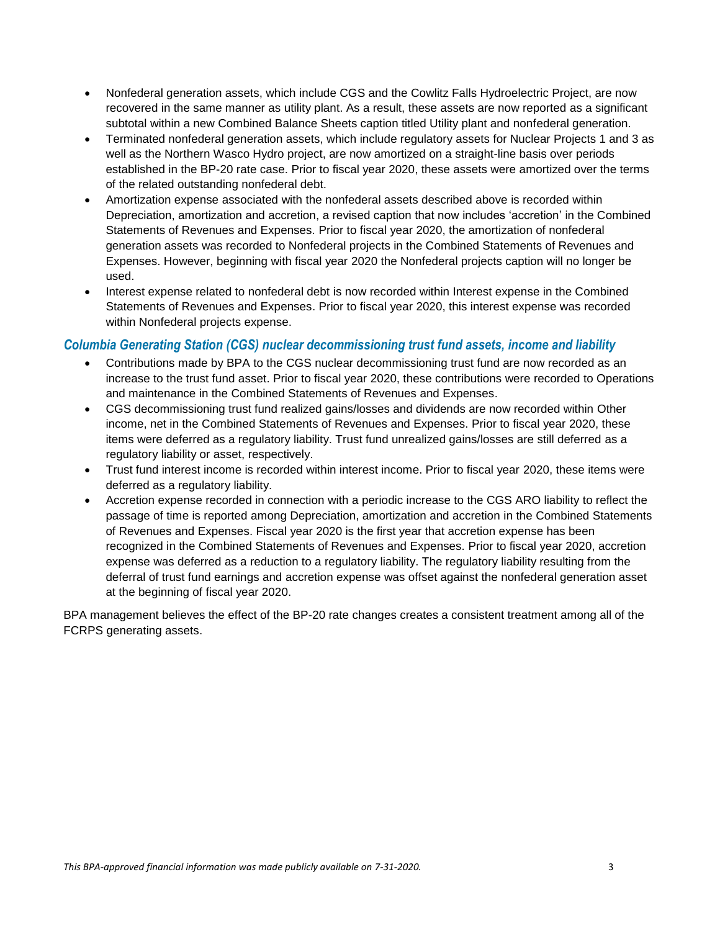- Nonfederal generation assets, which include CGS and the Cowlitz Falls Hydroelectric Project, are now recovered in the same manner as utility plant. As a result, these assets are now reported as a significant subtotal within a new Combined Balance Sheets caption titled Utility plant and nonfederal generation.
- Terminated nonfederal generation assets, which include regulatory assets for Nuclear Projects 1 and 3 as well as the Northern Wasco Hydro project, are now amortized on a straight-line basis over periods established in the BP-20 rate case. Prior to fiscal year 2020, these assets were amortized over the terms of the related outstanding nonfederal debt.
- Amortization expense associated with the nonfederal assets described above is recorded within Depreciation, amortization and accretion, a revised caption that now includes 'accretion' in the Combined Statements of Revenues and Expenses. Prior to fiscal year 2020, the amortization of nonfederal generation assets was recorded to Nonfederal projects in the Combined Statements of Revenues and Expenses. However, beginning with fiscal year 2020 the Nonfederal projects caption will no longer be used.
- Interest expense related to nonfederal debt is now recorded within Interest expense in the Combined Statements of Revenues and Expenses. Prior to fiscal year 2020, this interest expense was recorded within Nonfederal projects expense.

### *Columbia Generating Station (CGS) nuclear decommissioning trust fund assets, income and liability*

- Contributions made by BPA to the CGS nuclear decommissioning trust fund are now recorded as an increase to the trust fund asset. Prior to fiscal year 2020, these contributions were recorded to Operations and maintenance in the Combined Statements of Revenues and Expenses.
- CGS decommissioning trust fund realized gains/losses and dividends are now recorded within Other income, net in the Combined Statements of Revenues and Expenses. Prior to fiscal year 2020, these items were deferred as a regulatory liability. Trust fund unrealized gains/losses are still deferred as a regulatory liability or asset, respectively.
- Trust fund interest income is recorded within interest income. Prior to fiscal year 2020, these items were deferred as a regulatory liability.
- Accretion expense recorded in connection with a periodic increase to the CGS ARO liability to reflect the passage of time is reported among Depreciation, amortization and accretion in the Combined Statements of Revenues and Expenses. Fiscal year 2020 is the first year that accretion expense has been recognized in the Combined Statements of Revenues and Expenses. Prior to fiscal year 2020, accretion expense was deferred as a reduction to a regulatory liability. The regulatory liability resulting from the deferral of trust fund earnings and accretion expense was offset against the nonfederal generation asset at the beginning of fiscal year 2020.

BPA management believes the effect of the BP-20 rate changes creates a consistent treatment among all of the FCRPS generating assets.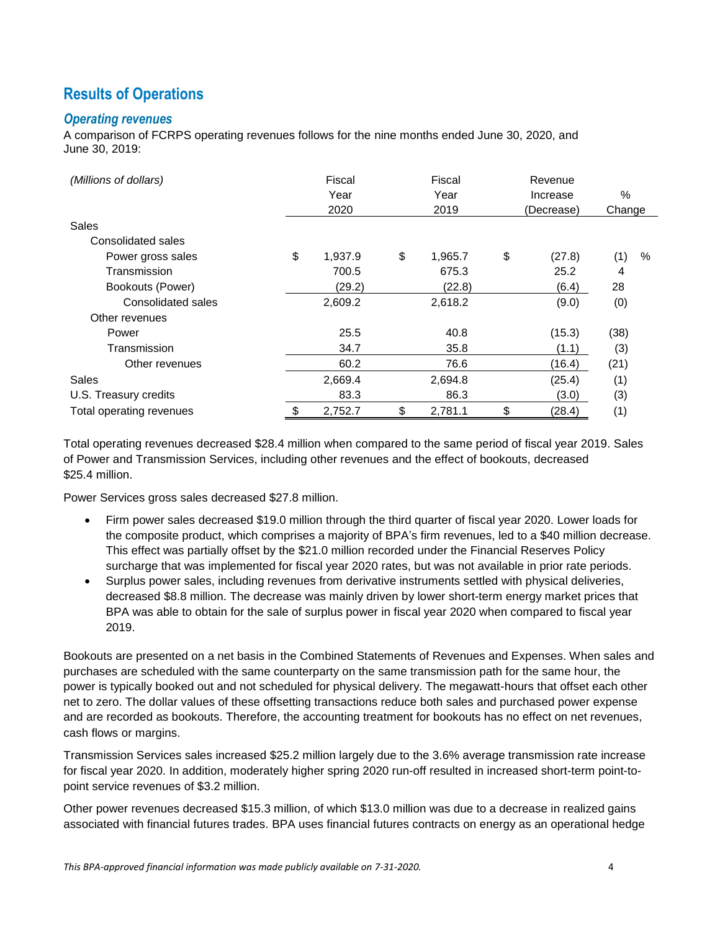### **Results of Operations**

### *Operating revenues*

A comparison of FCRPS operating revenues follows for the nine months ended June 30, 2020, and June 30, 2019:

| (Millions of dollars)    | Fiscal |         | Fiscal        |    | Revenue    |        |      |
|--------------------------|--------|---------|---------------|----|------------|--------|------|
|                          |        | Year    | Year          |    | Increase   | $\%$   |      |
|                          |        | 2020    | 2019          |    | (Decrease) | Change |      |
| Sales                    |        |         |               |    |            |        |      |
| Consolidated sales       |        |         |               |    |            |        |      |
| Power gross sales        | \$     | 1.937.9 | \$<br>1,965.7 | \$ | (27.8)     | (1)    | $\%$ |
| Transmission             |        | 700.5   | 675.3         |    | 25.2       | 4      |      |
| Bookouts (Power)         |        | (29.2)  | (22.8)        |    | (6.4)      | 28     |      |
| Consolidated sales       |        | 2,609.2 | 2,618.2       |    | (9.0)      | (0)    |      |
| Other revenues           |        |         |               |    |            |        |      |
| Power                    |        | 25.5    | 40.8          |    | (15.3)     | (38)   |      |
| Transmission             |        | 34.7    | 35.8          |    | (1.1)      | (3)    |      |
| Other revenues           |        | 60.2    | 76.6          |    | (16.4)     | (21)   |      |
| Sales                    |        | 2,669.4 | 2,694.8       |    | (25.4)     | (1)    |      |
| U.S. Treasury credits    |        | 83.3    | 86.3          |    | (3.0)      | (3)    |      |
| Total operating revenues | \$     | 2,752.7 | \$<br>2,781.1 | \$ | (28.4)     | (1)    |      |

Total operating revenues decreased \$28.4 million when compared to the same period of fiscal year 2019. Sales of Power and Transmission Services, including other revenues and the effect of bookouts, decreased \$25.4 million.

Power Services gross sales decreased \$27.8 million.

- Firm power sales decreased \$19.0 million through the third quarter of fiscal year 2020. Lower loads for the composite product, which comprises a majority of BPA's firm revenues, led to a \$40 million decrease. This effect was partially offset by the \$21.0 million recorded under the Financial Reserves Policy surcharge that was implemented for fiscal year 2020 rates, but was not available in prior rate periods.
- Surplus power sales, including revenues from derivative instruments settled with physical deliveries, decreased \$8.8 million. The decrease was mainly driven by lower short-term energy market prices that BPA was able to obtain for the sale of surplus power in fiscal year 2020 when compared to fiscal year 2019.

Bookouts are presented on a net basis in the Combined Statements of Revenues and Expenses. When sales and purchases are scheduled with the same counterparty on the same transmission path for the same hour, the power is typically booked out and not scheduled for physical delivery. The megawatt-hours that offset each other net to zero. The dollar values of these offsetting transactions reduce both sales and purchased power expense and are recorded as bookouts. Therefore, the accounting treatment for bookouts has no effect on net revenues, cash flows or margins.

Transmission Services sales increased \$25.2 million largely due to the 3.6% average transmission rate increase for fiscal year 2020. In addition, moderately higher spring 2020 run-off resulted in increased short-term point-topoint service revenues of \$3.2 million.

Other power revenues decreased \$15.3 million, of which \$13.0 million was due to a decrease in realized gains associated with financial futures trades. BPA uses financial futures contracts on energy as an operational hedge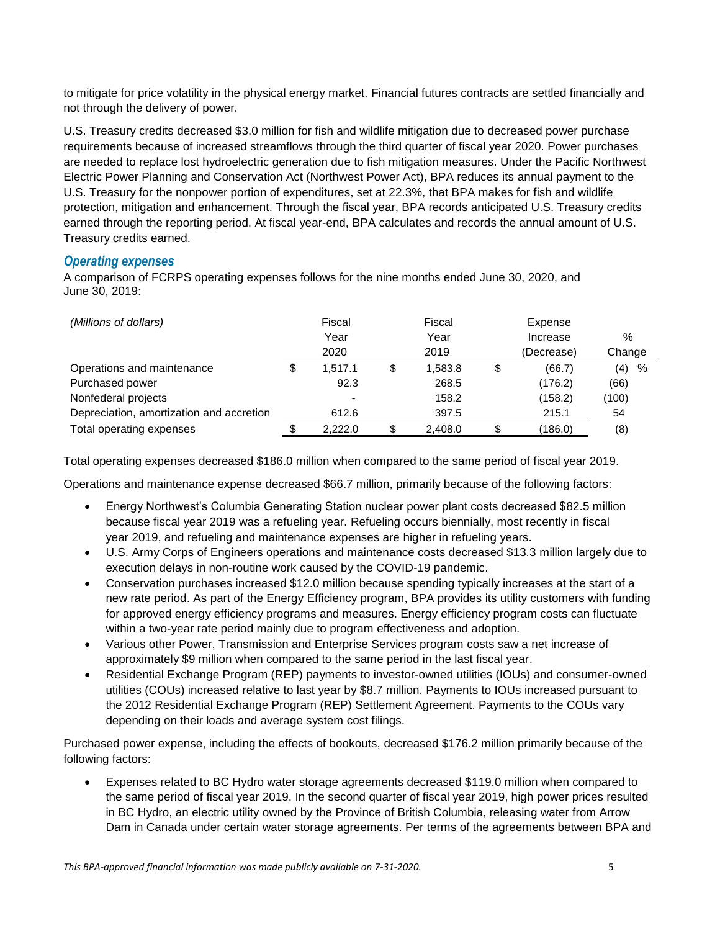to mitigate for price volatility in the physical energy market. Financial futures contracts are settled financially and not through the delivery of power.

U.S. Treasury credits decreased \$3.0 million for fish and wildlife mitigation due to decreased power purchase requirements because of increased streamflows through the third quarter of fiscal year 2020. Power purchases are needed to replace lost hydroelectric generation due to fish mitigation measures. Under the Pacific Northwest Electric Power Planning and Conservation Act (Northwest Power Act), BPA reduces its annual payment to the U.S. Treasury for the nonpower portion of expenditures, set at 22.3%, that BPA makes for fish and wildlife protection, mitigation and enhancement. Through the fiscal year, BPA records anticipated U.S. Treasury credits earned through the reporting period. At fiscal year-end, BPA calculates and records the annual amount of U.S. Treasury credits earned.

### *Operating expenses*

A comparison of FCRPS operating expenses follows for the nine months ended June 30, 2020, and June 30, 2019:

| (Millions of dollars)                    |   | Fiscal<br>Year<br>2020   | Fiscal<br>Year<br>2019 | Expense<br>Increase<br>(Decrease) | $\%$   |      |
|------------------------------------------|---|--------------------------|------------------------|-----------------------------------|--------|------|
|                                          |   |                          |                        |                                   | Change |      |
| Operations and maintenance               | S | 1.517.1                  | \$<br>1.583.8          | \$<br>(66.7)                      | (4)    | $\%$ |
| Purchased power                          |   | 92.3                     | 268.5                  | (176.2)                           | (66)   |      |
| Nonfederal projects                      |   | $\overline{\phantom{a}}$ | 158.2                  | (158.2)                           | (100)  |      |
| Depreciation, amortization and accretion |   | 612.6                    | 397.5                  | 215.1                             | 54     |      |
| Total operating expenses                 |   | 2.222.0                  | 2,408.0                | (186.0)                           | (8)    |      |

Total operating expenses decreased \$186.0 million when compared to the same period of fiscal year 2019.

Operations and maintenance expense decreased \$66.7 million, primarily because of the following factors:

- Energy Northwest's Columbia Generating Station nuclear power plant costs decreased \$82.5 million because fiscal year 2019 was a refueling year. Refueling occurs biennially, most recently in fiscal year 2019, and refueling and maintenance expenses are higher in refueling years.
- U.S. Army Corps of Engineers operations and maintenance costs decreased \$13.3 million largely due to execution delays in non-routine work caused by the COVID-19 pandemic.
- Conservation purchases increased \$12.0 million because spending typically increases at the start of a new rate period. As part of the Energy Efficiency program, BPA provides its utility customers with funding for approved energy efficiency programs and measures. Energy efficiency program costs can fluctuate within a two-year rate period mainly due to program effectiveness and adoption.
- Various other Power, Transmission and Enterprise Services program costs saw a net increase of approximately \$9 million when compared to the same period in the last fiscal year.
- Residential Exchange Program (REP) payments to investor-owned utilities (IOUs) and consumer-owned utilities (COUs) increased relative to last year by \$8.7 million. Payments to IOUs increased pursuant to the 2012 Residential Exchange Program (REP) Settlement Agreement. Payments to the COUs vary depending on their loads and average system cost filings.

Purchased power expense, including the effects of bookouts, decreased \$176.2 million primarily because of the following factors:

 Expenses related to BC Hydro water storage agreements decreased \$119.0 million when compared to the same period of fiscal year 2019. In the second quarter of fiscal year 2019, high power prices resulted in BC Hydro, an electric utility owned by the Province of British Columbia, releasing water from Arrow Dam in Canada under certain water storage agreements. Per terms of the agreements between BPA and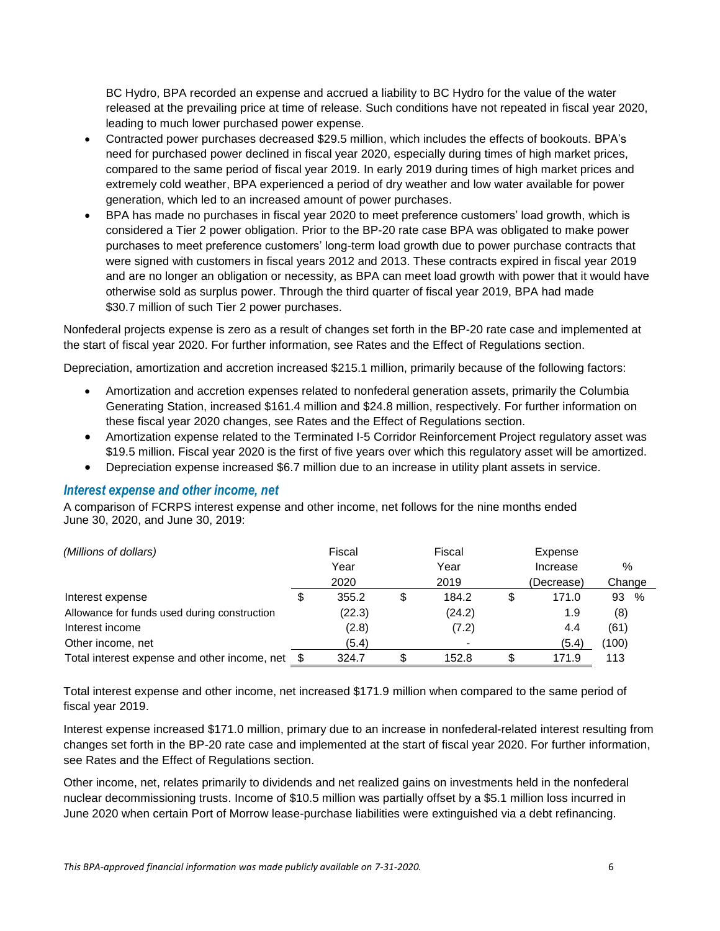BC Hydro, BPA recorded an expense and accrued a liability to BC Hydro for the value of the water released at the prevailing price at time of release. Such conditions have not repeated in fiscal year 2020, leading to much lower purchased power expense.

- Contracted power purchases decreased \$29.5 million, which includes the effects of bookouts. BPA's need for purchased power declined in fiscal year 2020, especially during times of high market prices, compared to the same period of fiscal year 2019. In early 2019 during times of high market prices and extremely cold weather, BPA experienced a period of dry weather and low water available for power generation, which led to an increased amount of power purchases.
- BPA has made no purchases in fiscal year 2020 to meet preference customers' load growth, which is considered a Tier 2 power obligation. Prior to the BP-20 rate case BPA was obligated to make power purchases to meet preference customers' long-term load growth due to power purchase contracts that were signed with customers in fiscal years 2012 and 2013. These contracts expired in fiscal year 2019 and are no longer an obligation or necessity, as BPA can meet load growth with power that it would have otherwise sold as surplus power. Through the third quarter of fiscal year 2019, BPA had made \$30.7 million of such Tier 2 power purchases.

Nonfederal projects expense is zero as a result of changes set forth in the BP-20 rate case and implemented at the start of fiscal year 2020. For further information, see Rates and the Effect of Regulations section.

Depreciation, amortization and accretion increased \$215.1 million, primarily because of the following factors:

- Amortization and accretion expenses related to nonfederal generation assets, primarily the Columbia Generating Station, increased \$161.4 million and \$24.8 million, respectively. For further information on these fiscal year 2020 changes, see Rates and the Effect of Regulations section.
- Amortization expense related to the Terminated I-5 Corridor Reinforcement Project regulatory asset was \$19.5 million. Fiscal year 2020 is the first of five years over which this regulatory asset will be amortized.
- Depreciation expense increased \$6.7 million due to an increase in utility plant assets in service.

#### *Interest expense and other income, net*

A comparison of FCRPS interest expense and other income, net follows for the nine months ended June 30, 2020, and June 30, 2019:

| (Millions of dollars)                        |   | Fiscal |   | Fiscal |    | Expense    |         |
|----------------------------------------------|---|--------|---|--------|----|------------|---------|
|                                              |   | Year   |   | Year   |    | Increase   | $\%$    |
|                                              |   | 2020   |   | 2019   |    | (Decrease) | Change  |
| Interest expense                             | S | 355.2  | S | 184.2  | \$ | 171.0      | %<br>93 |
| Allowance for funds used during construction |   | (22.3) |   | (24.2) |    | 1.9        | (8)     |
| Interest income                              |   | (2.8)  |   | (7.2)  |    | 4.4        | (61)    |
| Other income, net                            |   | (5.4)  |   |        |    | (5.4)      | (100)   |
| Total interest expense and other income, net |   | 324.7  |   | 152.8  | S  | 171.9      | 113     |

Total interest expense and other income, net increased \$171.9 million when compared to the same period of fiscal year 2019.

Interest expense increased \$171.0 million, primary due to an increase in nonfederal-related interest resulting from changes set forth in the BP-20 rate case and implemented at the start of fiscal year 2020. For further information, see Rates and the Effect of Regulations section.

Other income, net, relates primarily to dividends and net realized gains on investments held in the nonfederal nuclear decommissioning trusts. Income of \$10.5 million was partially offset by a \$5.1 million loss incurred in June 2020 when certain Port of Morrow lease-purchase liabilities were extinguished via a debt refinancing.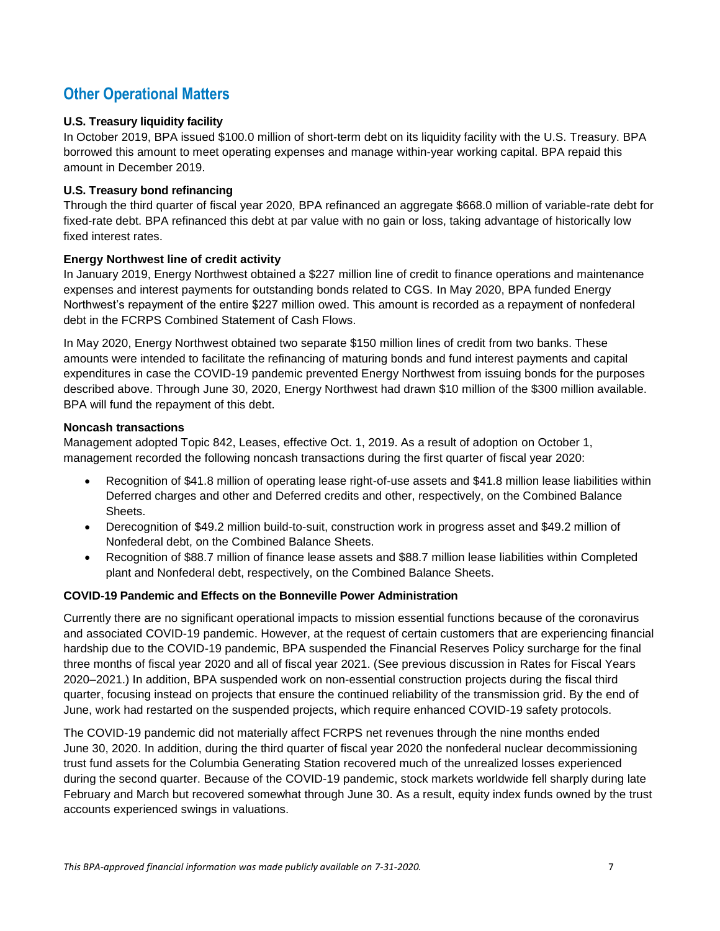### **Other Operational Matters**

### **U.S. Treasury liquidity facility**

In October 2019, BPA issued \$100.0 million of short-term debt on its liquidity facility with the U.S. Treasury. BPA borrowed this amount to meet operating expenses and manage within-year working capital. BPA repaid this amount in December 2019.

#### **U.S. Treasury bond refinancing**

Through the third quarter of fiscal year 2020, BPA refinanced an aggregate \$668.0 million of variable-rate debt for fixed-rate debt. BPA refinanced this debt at par value with no gain or loss, taking advantage of historically low fixed interest rates.

#### **Energy Northwest line of credit activity**

In January 2019, Energy Northwest obtained a \$227 million line of credit to finance operations and maintenance expenses and interest payments for outstanding bonds related to CGS. In May 2020, BPA funded Energy Northwest's repayment of the entire \$227 million owed. This amount is recorded as a repayment of nonfederal debt in the FCRPS Combined Statement of Cash Flows.

In May 2020, Energy Northwest obtained two separate \$150 million lines of credit from two banks. These amounts were intended to facilitate the refinancing of maturing bonds and fund interest payments and capital expenditures in case the COVID-19 pandemic prevented Energy Northwest from issuing bonds for the purposes described above. Through June 30, 2020, Energy Northwest had drawn \$10 million of the \$300 million available. BPA will fund the repayment of this debt.

#### **Noncash transactions**

Management adopted Topic 842, Leases, effective Oct. 1, 2019. As a result of adoption on October 1, management recorded the following noncash transactions during the first quarter of fiscal year 2020:

- Recognition of \$41.8 million of operating lease right-of-use assets and \$41.8 million lease liabilities within Deferred charges and other and Deferred credits and other, respectively, on the Combined Balance Sheets.
- Derecognition of \$49.2 million build-to-suit, construction work in progress asset and \$49.2 million of Nonfederal debt, on the Combined Balance Sheets.
- Recognition of \$88.7 million of finance lease assets and \$88.7 million lease liabilities within Completed plant and Nonfederal debt, respectively, on the Combined Balance Sheets.

#### **COVID-19 Pandemic and Effects on the Bonneville Power Administration**

Currently there are no significant operational impacts to mission essential functions because of the coronavirus and associated COVID-19 pandemic. However, at the request of certain customers that are experiencing financial hardship due to the COVID-19 pandemic, BPA suspended the Financial Reserves Policy surcharge for the final three months of fiscal year 2020 and all of fiscal year 2021. (See previous discussion in Rates for Fiscal Years 2020–2021.) In addition, BPA suspended work on non-essential construction projects during the fiscal third quarter, focusing instead on projects that ensure the continued reliability of the transmission grid. By the end of June, work had restarted on the suspended projects, which require enhanced COVID-19 safety protocols.

The COVID-19 pandemic did not materially affect FCRPS net revenues through the nine months ended June 30, 2020. In addition, during the third quarter of fiscal year 2020 the nonfederal nuclear decommissioning trust fund assets for the Columbia Generating Station recovered much of the unrealized losses experienced during the second quarter. Because of the COVID-19 pandemic, stock markets worldwide fell sharply during late February and March but recovered somewhat through June 30. As a result, equity index funds owned by the trust accounts experienced swings in valuations.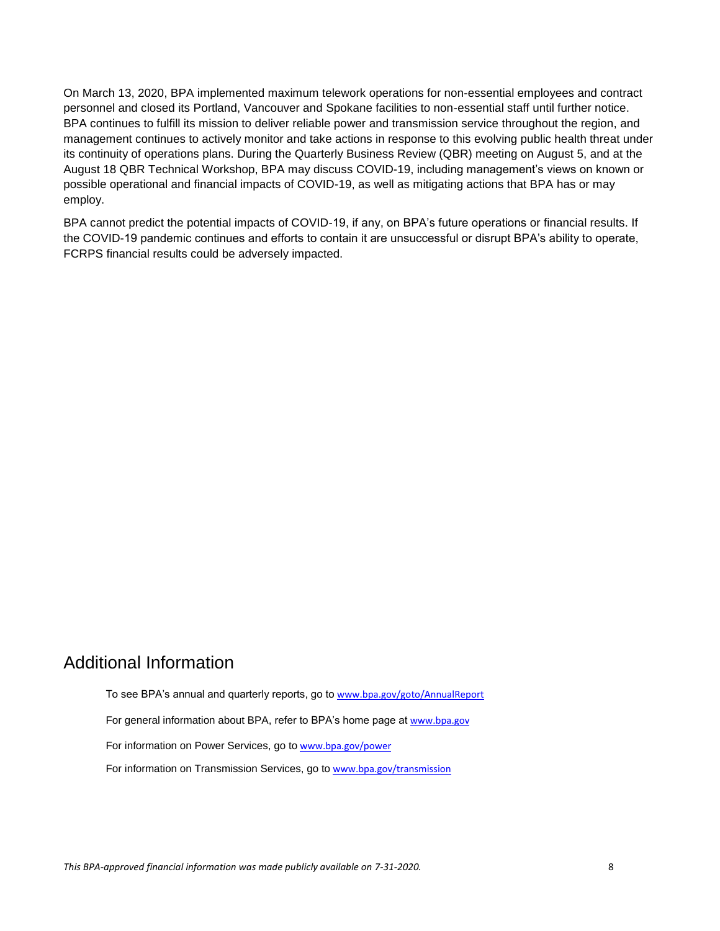On March 13, 2020, BPA implemented maximum telework operations for non-essential employees and contract personnel and closed its Portland, Vancouver and Spokane facilities to non-essential staff until further notice. BPA continues to fulfill its mission to deliver reliable power and transmission service throughout the region, and management continues to actively monitor and take actions in response to this evolving public health threat under its continuity of operations plans. During the Quarterly Business Review (QBR) meeting on August 5, and at the August 18 QBR Technical Workshop, BPA may discuss COVID-19, including management's views on known or possible operational and financial impacts of COVID-19, as well as mitigating actions that BPA has or may employ.

BPA cannot predict the potential impacts of COVID-19, if any, on BPA's future operations or financial results. If the COVID-19 pandemic continues and efforts to contain it are unsuccessful or disrupt BPA's ability to operate, FCRPS financial results could be adversely impacted.

### Additional Information

To see BPA's annual and quarterly reports, go to [www.bpa.gov/goto/AnnualReport](http://www.bpa.gov/goto/AnnualReport)

For general information about BPA, refer to BPA's home page at [www.bpa.gov](http://www.bpa.gov/)

For information on Power Services, go to [www.bpa.gov/power](http://www.bpa.gov/power)

For information on Transmission Services, go to [www.bpa.gov/transmission](http://www.bpa.gov/transmission)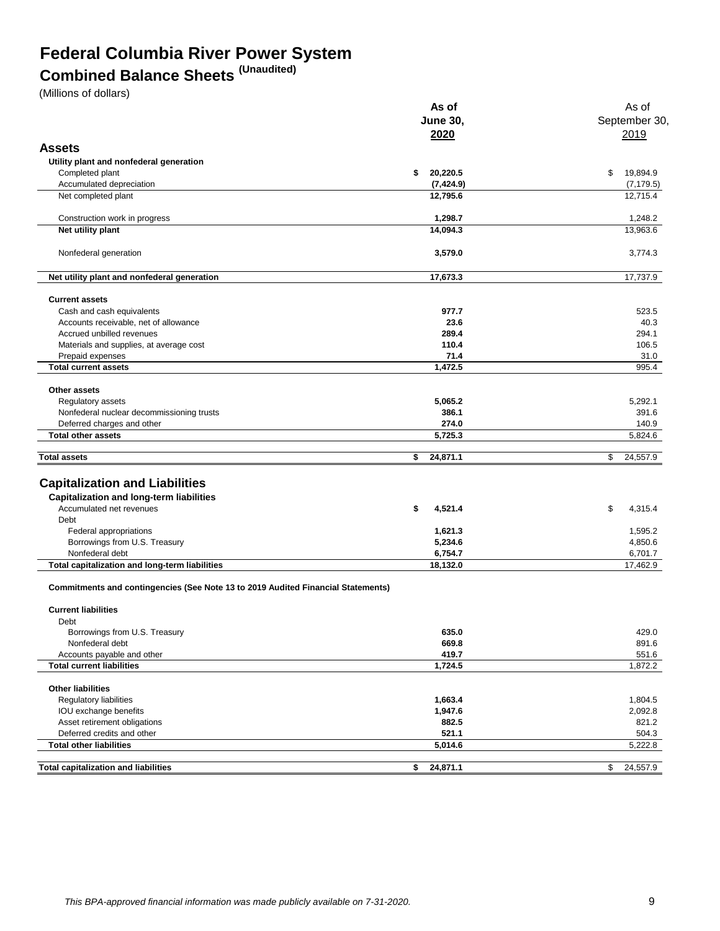## **Federal Columbia River Power System**

## **Combined Balance Sheets (Unaudited)**

(Millions of dollars)

|                                                                                         | As of           | As of          |  |  |
|-----------------------------------------------------------------------------------------|-----------------|----------------|--|--|
|                                                                                         | <b>June 30,</b> | September 30   |  |  |
|                                                                                         | 2020            | 2019           |  |  |
| <b>Assets</b>                                                                           |                 |                |  |  |
| Utility plant and nonfederal generation                                                 |                 |                |  |  |
| Completed plant                                                                         | 20,220.5<br>\$  | 19,894.9<br>\$ |  |  |
| Accumulated depreciation                                                                | (7, 424.9)      | (7, 179.5)     |  |  |
| Net completed plant                                                                     | 12,795.6        | 12,715.4       |  |  |
|                                                                                         |                 |                |  |  |
| Construction work in progress                                                           | 1,298.7         | 1,248.2        |  |  |
| Net utility plant                                                                       | 14,094.3        | 13,963.6       |  |  |
| Nonfederal generation                                                                   | 3,579.0         | 3,774.3        |  |  |
| Net utility plant and nonfederal generation                                             | 17,673.3        | 17,737.9       |  |  |
| <b>Current assets</b>                                                                   |                 |                |  |  |
| Cash and cash equivalents                                                               | 977.7           | 523.5          |  |  |
| Accounts receivable, net of allowance                                                   | 23.6            | 40.3           |  |  |
| Accrued unbilled revenues                                                               | 289.4           | 294.1          |  |  |
| Materials and supplies, at average cost                                                 | 110.4           | 106.5          |  |  |
| Prepaid expenses                                                                        | 71.4            | 31.0           |  |  |
| <b>Total current assets</b>                                                             | 1,472.5         | 995.4          |  |  |
|                                                                                         |                 |                |  |  |
| Other assets                                                                            |                 |                |  |  |
| Regulatory assets                                                                       | 5,065.2         | 5,292.1        |  |  |
| Nonfederal nuclear decommissioning trusts                                               | 386.1           | 391.6          |  |  |
| Deferred charges and other                                                              | 274.0           | 140.9          |  |  |
| <b>Total other assets</b>                                                               | 5,725.3         | 5,824.6        |  |  |
| <b>Total assets</b>                                                                     | 24,871.1<br>\$  | \$<br>24,557.9 |  |  |
|                                                                                         |                 |                |  |  |
| <b>Capitalization and Liabilities</b>                                                   |                 |                |  |  |
| <b>Capitalization and long-term liabilities</b>                                         |                 |                |  |  |
| Accumulated net revenues                                                                | \$<br>4,521.4   | \$<br>4,315.4  |  |  |
| Debt                                                                                    |                 |                |  |  |
| Federal appropriations                                                                  | 1,621.3         | 1,595.2        |  |  |
| Borrowings from U.S. Treasury                                                           | 5,234.6         | 4,850.6        |  |  |
| Nonfederal debt                                                                         | 6,754.7         | 6,701.7        |  |  |
| Total capitalization and long-term liabilities                                          | 18,132.0        | 17,462.9       |  |  |
| <b>Commitments and contingencies (See Note 13 to 2019 Audited Financial Statements)</b> |                 |                |  |  |
| <b>Current liabilities</b>                                                              |                 |                |  |  |
| Debt                                                                                    |                 |                |  |  |
| Borrowings from U.S. Treasury                                                           | 635.0           | 429.0          |  |  |
| Nonfederal debt                                                                         | 669.8           | 891.6          |  |  |
| Accounts payable and other                                                              | 419.7           | 551.6          |  |  |
| <b>Total current liabilities</b>                                                        | 1,724.5         | 1,872.2        |  |  |
| <b>Other liabilities</b>                                                                |                 |                |  |  |
| Regulatory liabilities                                                                  | 1,663.4         | 1,804.5        |  |  |
| IOU exchange benefits                                                                   | 1,947.6         | 2,092.8        |  |  |
| Asset retirement obligations                                                            | 882.5           | 821.2          |  |  |
| Deferred credits and other                                                              | 521.1           | 504.3          |  |  |
| <b>Total other liabilities</b>                                                          | 5,014.6         | 5,222.8        |  |  |
| <b>Total capitalization and liabilities</b>                                             | 24,871.1<br>\$  | 24,557.9<br>\$ |  |  |
|                                                                                         |                 |                |  |  |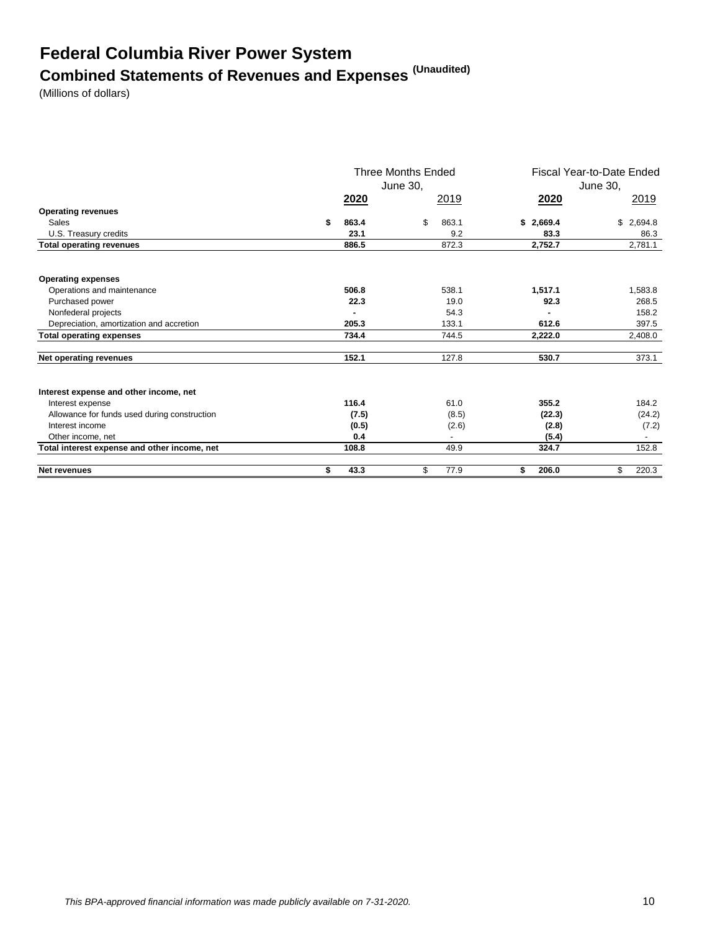# **Federal Columbia River Power System Combined Statements of Revenues and Expenses (Unaudited)**

(Millions of dollars)

|                                              | <b>Three Months Ended</b><br>June 30, |             | Fiscal Year-to-Date Ended<br>June 30. |             |  |
|----------------------------------------------|---------------------------------------|-------------|---------------------------------------|-------------|--|
|                                              | <u>2020</u>                           | 2019        | <u>2020</u>                           | 2019        |  |
| <b>Operating revenues</b>                    |                                       |             |                                       |             |  |
| Sales                                        | \$<br>863.4                           | \$<br>863.1 | \$2,669.4                             | \$2,694.8   |  |
| U.S. Treasury credits                        | 23.1                                  | 9.2         | 83.3                                  | 86.3        |  |
| <b>Total operating revenues</b>              | 886.5                                 | 872.3       | 2,752.7                               | 2,781.1     |  |
| <b>Operating expenses</b>                    |                                       |             |                                       |             |  |
| Operations and maintenance                   | 506.8                                 | 538.1       | 1,517.1                               | 1,583.8     |  |
| Purchased power                              | 22.3                                  | 19.0        | 92.3                                  | 268.5       |  |
| Nonfederal projects                          |                                       | 54.3        |                                       | 158.2       |  |
| Depreciation, amortization and accretion     | 205.3                                 | 133.1       | 612.6                                 | 397.5       |  |
| <b>Total operating expenses</b>              | 734.4                                 | 744.5       | 2,222.0                               | 2,408.0     |  |
| Net operating revenues                       | 152.1                                 | 127.8       | 530.7                                 | 373.1       |  |
| Interest expense and other income, net       |                                       |             |                                       |             |  |
| Interest expense                             | 116.4                                 | 61.0        | 355.2                                 | 184.2       |  |
| Allowance for funds used during construction | (7.5)                                 | (8.5)       | (22.3)                                | (24.2)      |  |
| Interest income                              | (0.5)                                 | (2.6)       | (2.8)                                 | (7.2)       |  |
| Other income, net                            | 0.4                                   |             | (5.4)                                 |             |  |
| Total interest expense and other income, net | 108.8                                 | 49.9        | 324.7                                 | 152.8       |  |
| <b>Net revenues</b>                          | \$<br>43.3                            | \$<br>77.9  | 206.0<br>\$                           | \$<br>220.3 |  |